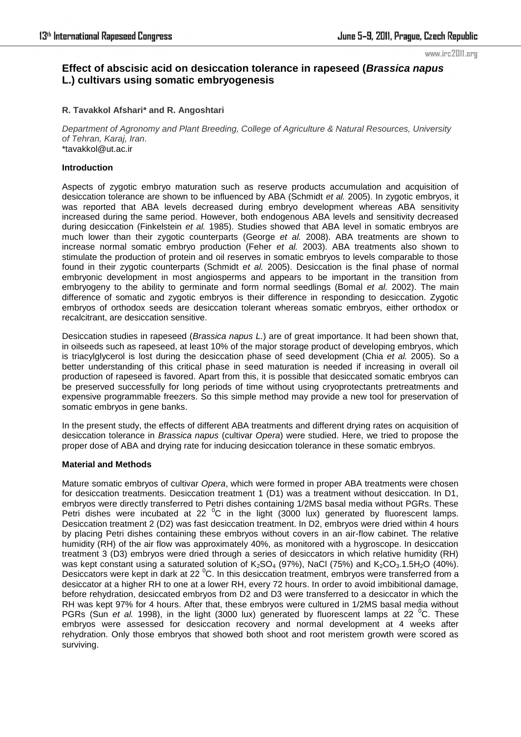#### www.irc2011.org

# **Effect of abscisic acid on desiccation tolerance in rapeseed (***Brassica napus* **L.) cultivars using somatic embryogenesis**

# **R. Tavakkol Afshari\* and R. Angoshtari**

*Department of Agronomy and Plant Breeding, College of Agriculture & Natural Resources, University of Tehran, Karaj, Iran.*  \*tavakkol@ut.ac.ir

## **Introduction**

Aspects of zygotic embryo maturation such as reserve products accumulation and acquisition of desiccation tolerance are shown to be influenced by ABA (Schmidt *et al.* 2005). In zygotic embryos, it was reported that ABA levels decreased during embryo development whereas ABA sensitivity increased during the same period. However, both endogenous ABA levels and sensitivity decreased during desiccation (Finkelstein *et al.* 1985). Studies showed that ABA level in somatic embryos are much lower than their zygotic counterparts (George *et al.* 2008). ABA treatments are shown to increase normal somatic embryo production (Feher *et al.* 2003). ABA treatments also shown to stimulate the production of protein and oil reserves in somatic embryos to levels comparable to those found in their zygotic counterparts (Schmidt *et al.* 2005). Desiccation is the final phase of normal embryonic development in most angiosperms and appears to be important in the transition from embryogeny to the ability to germinate and form normal seedlings (Bomal *et al.* 2002). The main difference of somatic and zygotic embryos is their difference in responding to desiccation. Zygotic embryos of orthodox seeds are desiccation tolerant whereas somatic embryos, either orthodox or recalcitrant, are desiccation sensitive.

Desiccation studies in rapeseed (*Brassica napus L.*) are of great importance. It had been shown that, in oilseeds such as rapeseed, at least 10% of the major storage product of developing embryos, which is triacylglycerol is lost during the desiccation phase of seed development (Chia *et al.* 2005). So a better understanding of this critical phase in seed maturation is needed if increasing in overall oil production of rapeseed is favored. Apart from this, it is possible that desiccated somatic embryos can be preserved successfully for long periods of time without using cryoprotectants pretreatments and expensive programmable freezers. So this simple method may provide a new tool for preservation of somatic embryos in gene banks.

In the present study, the effects of different ABA treatments and different drying rates on acquisition of desiccation tolerance in *Brassica napus* (cultivar *Opera*) were studied. Here, we tried to propose the proper dose of ABA and drying rate for inducing desiccation tolerance in these somatic embryos.

### **Material and Methods**

Mature somatic embryos of cultivar *Opera*, which were formed in proper ABA treatments were chosen for desiccation treatments. Desiccation treatment 1 (D1) was a treatment without desiccation. In D1, embryos were directly transferred to Petri dishes containing 1/2MS basal media without PGRs. These Petri dishes were incubated at 22  $\mathrm{^0C}$  in the light (3000 lux) generated by fluorescent lamps. Desiccation treatment 2 (D2) was fast desiccation treatment. In D2, embryos were dried within 4 hours by placing Petri dishes containing these embryos without covers in an air-flow cabinet. The relative humidity (RH) of the air flow was approximately 40%, as monitored with a hygroscope. In desiccation treatment 3 (D3) embryos were dried through a series of desiccators in which relative humidity (RH) was kept constant using a saturated solution of  $K_2SO_4$  (97%), NaCl (75%) and  $K_2CO_3.1.5H_2O$  (40%). Desiccators were kept in dark at 22 <sup>o</sup>C. In this desiccation treatment, embryos were transferred from a desiccator at a higher RH to one at a lower RH, every 72 hours. In order to avoid imbibitional damage, before rehydration, desiccated embryos from D2 and D3 were transferred to a desiccator in which the RH was kept 97% for 4 hours. After that, these embryos were cultured in 1/2MS basal media without PGRs (Sun *et al.* 1998), in the light (3000 lux) generated by fluorescent lamps at 22 <sup>o</sup>C. These embryos were assessed for desiccation recovery and normal development at 4 weeks after rehydration. Only those embryos that showed both shoot and root meristem growth were scored as surviving.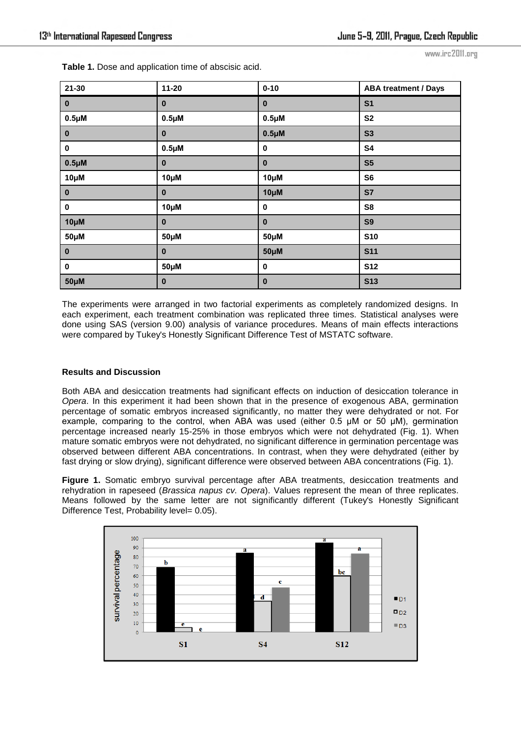www.irc2011.org

| $21 - 30$          | $11 - 20$ | $0 - 10$  | <b>ABA treatment / Days</b> |
|--------------------|-----------|-----------|-----------------------------|
| $\bf{0}$           | $\bf{0}$  | $\bf{0}$  | S <sub>1</sub>              |
| 0.5 <sub>µ</sub> M | $0.5\muM$ | $0.5\muM$ | <b>S2</b>                   |
| $\bf{0}$           | $\bf{0}$  | $0.5\muM$ | <b>S3</b>                   |
| $\pmb{0}$          | $0.5\muM$ | 0         | <b>S4</b>                   |
| $0.5\muM$          | $\bf{0}$  | $\pmb{0}$ | S <sub>5</sub>              |
| $10\mu$ M          | $10\mu$ M | $10\mu$ M | S <sub>6</sub>              |
| $\bf{0}$           | $\bf{0}$  | $10\mu$ M | <b>S7</b>                   |
| $\pmb{0}$          | $10\mu$ M | $\pmb{0}$ | S8                          |
| $10\mu$ M          | $\bf{0}$  | $\pmb{0}$ | <b>S9</b>                   |
| $50\mu$ M          | $50\mu$ M | $50\mu$ M | <b>S10</b>                  |
| $\bf{0}$           | $\bf{0}$  | $50\mu$ M | <b>S11</b>                  |
| $\pmb{0}$          | $50\mu$ M | 0         | <b>S12</b>                  |
| $50\mu$ M          | $\bf{0}$  | $\bf{0}$  | <b>S13</b>                  |

**Table 1.** Dose and application time of abscisic acid.

The experiments were arranged in two factorial experiments as completely randomized designs. In each experiment, each treatment combination was replicated three times. Statistical analyses were done using SAS (version 9.00) analysis of variance procedures. Means of main effects interactions were compared by Tukey's Honestly Significant Difference Test of MSTATC software.

# **Results and Discussion**

Both ABA and desiccation treatments had significant effects on induction of desiccation tolerance in *Opera*. In this experiment it had been shown that in the presence of exogenous ABA, germination percentage of somatic embryos increased significantly, no matter they were dehydrated or not. For example, comparing to the control, when ABA was used (either 0.5 µM or 50 µM), germination percentage increased nearly 15-25% in those embryos which were not dehydrated (Fig. 1). When mature somatic embryos were not dehydrated, no significant difference in germination percentage was observed between different ABA concentrations. In contrast, when they were dehydrated (either by fast drying or slow drying), significant difference were observed between ABA concentrations (Fig. 1).

**Figure 1.** Somatic embryo survival percentage after ABA treatments, desiccation treatments and rehydration in rapeseed (*Brassica napus cv. Opera*). Values represent the mean of three replicates. Means followed by the same letter are not significantly different (Tukey's Honestly Significant Difference Test, Probability level= 0.05).